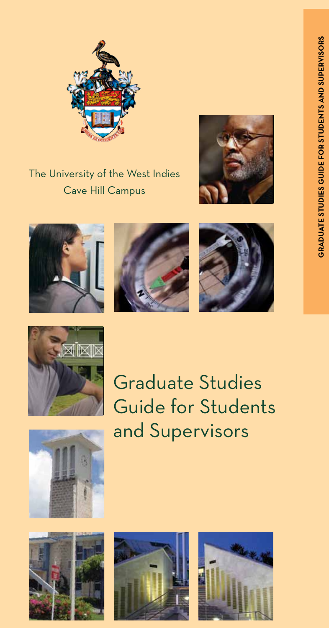

The University of the West Indies Cave Hill Campus











Graduate Studies Guide for Students and Supervisors







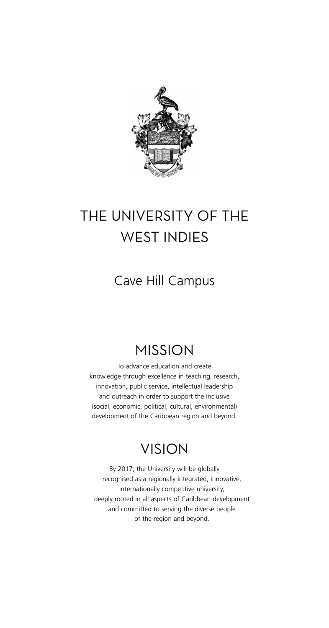

# THE UNIVERSITY OF THE WEST INDIES

### Cave Hill Campus

## MISSION

To advance education and create knowledge through excellence in teaching, research, innovation, public service, intellectual leadership and outreach in order to support the inclusive (social, economic, political, cultural, environmental) development of the Caribbean region and beyond.

## VISION

By 2017, the University will be globally recognised as a regionally integrated, innovative, internationally competitive university, deeply rooted in all aspects of Caribbean development and committed to serving the diverse people of the region and beyond.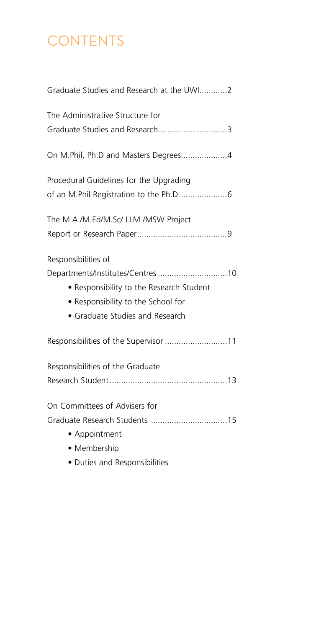# **CONTENTS**

 • Duties and Responsibilities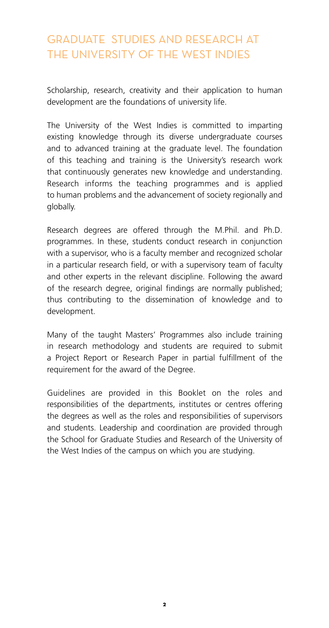#### graduate studies and research at the university of the west indies

Scholarship, research, creativity and their application to human development are the foundations of university life.

The University of the West Indies is committed to imparting existing knowledge through its diverse undergraduate courses and to advanced training at the graduate level. The foundation of this teaching and training is the University's research work that continuously generates new knowledge and understanding. Research informs the teaching programmes and is applied to human problems and the advancement of society regionally and globally.

Research degrees are offered through the M.Phil. and Ph.D. programmes. In these, students conduct research in conjunction with a supervisor, who is a faculty member and recognized scholar in a particular research field, or with a supervisory team of faculty and other experts in the relevant discipline. Following the award of the research degree, original findings are normally published; thus contributing to the dissemination of knowledge and to development.

Many of the taught Masters' Programmes also include training in research methodology and students are required to submit a Project Report or Research Paper in partial fulfillment of the requirement for the award of the Degree.

Guidelines are provided in this Booklet on the roles and responsibilities of the departments, institutes or centres offering the degrees as well as the roles and responsibilities of supervisors and students. Leadership and coordination are provided through the School for Graduate Studies and Research of the University of the West Indies of the campus on which you are studying.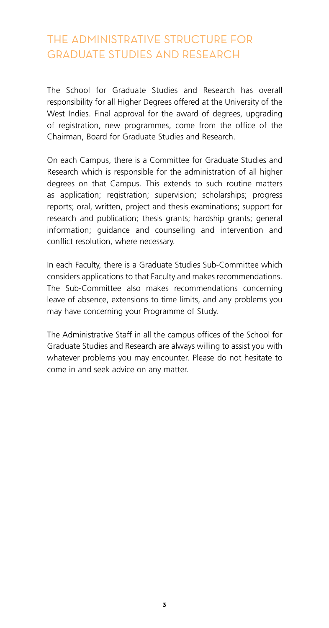#### THE ADMINISTRATIVE STRUCTURE FOR GRADUATE STUDIES AND RESEARCH

The School for Graduate Studies and Research has overall responsibility for all Higher Degrees offered at the University of the West Indies. Final approval for the award of degrees, upgrading of registration, new programmes, come from the office of the Chairman, Board for Graduate Studies and Research.

On each Campus, there is a Committee for Graduate Studies and Research which is responsible for the administration of all higher degrees on that Campus. This extends to such routine matters as application; registration; supervision; scholarships; progress reports; oral, written, project and thesis examinations; support for research and publication; thesis grants; hardship grants; general information; guidance and counselling and intervention and conflict resolution, where necessary.

In each Faculty, there is a Graduate Studies Sub-Committee which considers applications to that Faculty and makes recommendations. The Sub-Committee also makes recommendations concerning leave of absence, extensions to time limits, and any problems you may have concerning your Programme of Study.

The Administrative Staff in all the campus offices of the School for Graduate Studies and Research are always willing to assist you with whatever problems you may encounter. Please do not hesitate to come in and seek advice on any matter.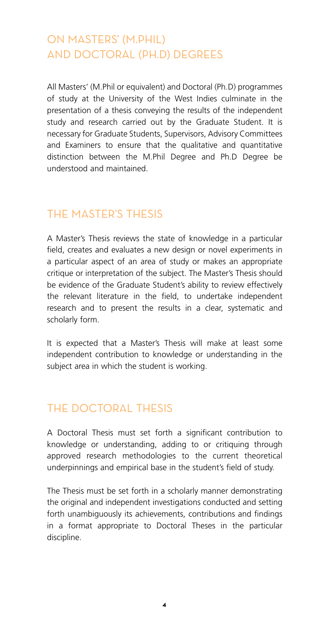#### ON MASTERS' (M.Phil) AND DOCTORAL (Ph.D) DEGREES

All Masters' (M.Phil or equivalent) and Doctoral (Ph.D) programmes of study at the University of the West Indies culminate in the presentation of a thesis conveying the results of the independent study and research carried out by the Graduate Student. It is necessary for Graduate Students, Supervisors, Advisory Committees and Examiners to ensure that the qualitative and quantitative distinction between the M.Phil Degree and Ph.D Degree be understood and maintained.

#### THE MASTER'S THESIS

A Master's Thesis reviews the state of knowledge in a particular field, creates and evaluates a new design or novel experiments in a particular aspect of an area of study or makes an appropriate critique or interpretation of the subject. The Master's Thesis should be evidence of the Graduate Student's ability to review effectively the relevant literature in the field, to undertake independent research and to present the results in a clear, systematic and scholarly form.

It is expected that a Master's Thesis will make at least some independent contribution to knowledge or understanding in the subject area in which the student is working.

#### THE DOCTORAL THESIS

A Doctoral Thesis must set forth a significant contribution to knowledge or understanding, adding to or critiquing through approved research methodologies to the current theoretical underpinnings and empirical base in the student's field of study.

The Thesis must be set forth in a scholarly manner demonstrating the original and independent investigations conducted and setting forth unambiguously its achievements, contributions and findings in a format appropriate to Doctoral Theses in the particular discipline.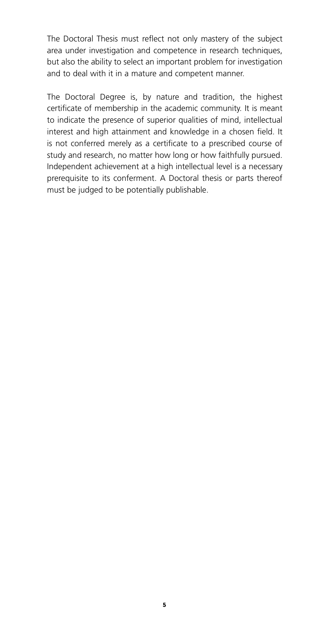The Doctoral Thesis must reflect not only mastery of the subject area under investigation and competence in research techniques, but also the ability to select an important problem for investigation and to deal with it in a mature and competent manner.

The Doctoral Degree is, by nature and tradition, the highest certificate of membership in the academic community. It is meant to indicate the presence of superior qualities of mind, intellectual interest and high attainment and knowledge in a chosen field. It is not conferred merely as a certificate to a prescribed course of study and research, no matter how long or how faithfully pursued. Independent achievement at a high intellectual level is a necessary prerequisite to its conferment. A Doctoral thesis or parts thereof must be judged to be potentially publishable.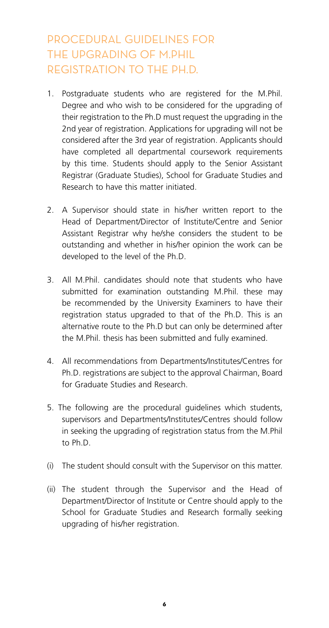### PROCEDURAL GUIDELINES FOR THE UPGRADING OF M.PHIL REGISTRATION TO THE PH.D.

- 1. Postgraduate students who are registered for the M.Phil. Degree and who wish to be considered for the upgrading of their registration to the Ph.D must request the upgrading in the 2nd year of registration. Applications for upgrading will not be considered after the 3rd year of registration. Applicants should have completed all departmental coursework requirements by this time. Students should apply to the Senior Assistant Registrar (Graduate Studies), School for Graduate Studies and Research to have this matter initiated.
- 2. A Supervisor should state in his/her written report to the Head of Department/Director of Institute/Centre and Senior Assistant Registrar why he/she considers the student to be outstanding and whether in his/her opinion the work can be developed to the level of the Ph.D.
- 3. All M.Phil. candidates should note that students who have submitted for examination outstanding M.Phil. these may be recommended by the University Examiners to have their registration status upgraded to that of the Ph.D. This is an alternative route to the Ph.D but can only be determined after the M.Phil. thesis has been submitted and fully examined.
- 4. All recommendations from Departments/Institutes/Centres for Ph.D. registrations are subject to the approval Chairman, Board for Graduate Studies and Research.
- 5. The following are the procedural guidelines which students, supervisors and Departments/Institutes/Centres should follow in seeking the upgrading of registration status from the M.Phil to Ph.D.
- (i) The student should consult with the Supervisor on this matter.
- (ii) The student through the Supervisor and the Head of Department/Director of Institute or Centre should apply to the School for Graduate Studies and Research formally seeking upgrading of his/her registration.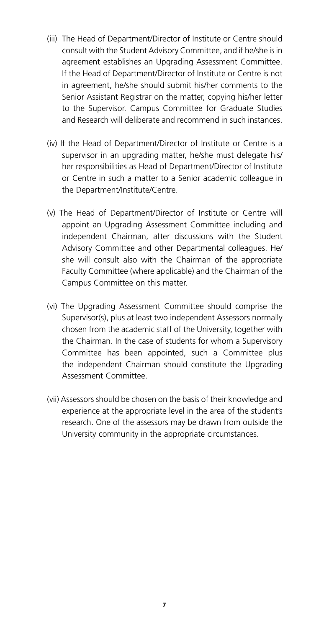- (iii) The Head of Department/Director of Institute or Centre should consult with the Student Advisory Committee, and if he/she is in agreement establishes an Upgrading Assessment Committee. If the Head of Department/Director of Institute or Centre is not in agreement, he/she should submit his/her comments to the Senior Assistant Registrar on the matter, copying his/her letter to the Supervisor. Campus Committee for Graduate Studies and Research will deliberate and recommend in such instances.
- (iv) If the Head of Department/Director of Institute or Centre is a supervisor in an upgrading matter, he/she must delegate his/ her responsibilities as Head of Department/Director of Institute or Centre in such a matter to a Senior academic colleague in the Department/Institute/Centre.
- (v) The Head of Department/Director of Institute or Centre will appoint an Upgrading Assessment Committee including and independent Chairman, after discussions with the Student Advisory Committee and other Departmental colleagues. He/ she will consult also with the Chairman of the appropriate Faculty Committee (where applicable) and the Chairman of the Campus Committee on this matter.
- (vi) The Upgrading Assessment Committee should comprise the Supervisor(s), plus at least two independent Assessors normally chosen from the academic staff of the University, together with the Chairman. In the case of students for whom a Supervisory Committee has been appointed, such a Committee plus the independent Chairman should constitute the Upgrading Assessment Committee.
- (vii) Assessors should be chosen on the basis of their knowledge and experience at the appropriate level in the area of the student's research. One of the assessors may be drawn from outside the University community in the appropriate circumstances.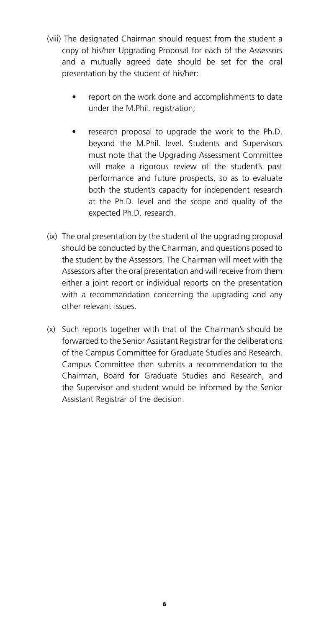- (viii) The designated Chairman should request from the student a copy of his/her Upgrading Proposal for each of the Assessors and a mutually agreed date should be set for the oral presentation by the student of his/her:
	- report on the work done and accomplishments to date under the M.Phil. registration;
	- research proposal to upgrade the work to the Ph.D. beyond the M.Phil. level. Students and Supervisors must note that the Upgrading Assessment Committee will make a rigorous review of the student's past performance and future prospects, so as to evaluate both the student's capacity for independent research at the Ph.D. level and the scope and quality of the expected Ph.D. research.
- (ix) The oral presentation by the student of the upgrading proposal should be conducted by the Chairman, and questions posed to the student by the Assessors. The Chairman will meet with the Assessors after the oral presentation and will receive from them either a joint report or individual reports on the presentation with a recommendation concerning the upgrading and any other relevant issues.
- (x) Such reports together with that of the Chairman's should be forwarded to the Senior Assistant Registrar for the deliberations of the Campus Committee for Graduate Studies and Research. Campus Committee then submits a recommendation to the Chairman, Board for Graduate Studies and Research, and the Supervisor and student would be informed by the Senior Assistant Registrar of the decision.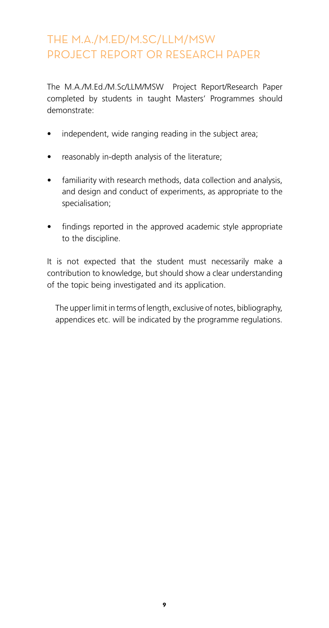### THE M.A./M.Ed/M.Sc/llm/msw PROJECT REPORT OR RESEARCH PAPER

The M.A./M.Ed./M.Sc/LLM/MSW Project Report/Research Paper completed by students in taught Masters' Programmes should demonstrate:

- independent, wide ranging reading in the subject area;
- reasonably in-depth analysis of the literature;
- familiarity with research methods, data collection and analysis, and design and conduct of experiments, as appropriate to the specialisation;
- findings reported in the approved academic style appropriate to the discipline.

It is not expected that the student must necessarily make a contribution to knowledge, but should show a clear understanding of the topic being investigated and its application.

The upper limit in terms of length, exclusive of notes, bibliography, appendices etc. will be indicated by the programme regulations.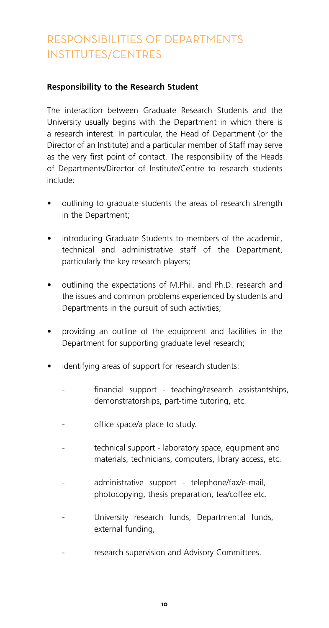### RESPONSIBILITIES OF DEPARTMENTS INSTITUTES/CENTRES

#### **Responsibility to the Research Student**

The interaction between Graduate Research Students and the University usually begins with the Department in which there is a research interest. In particular, the Head of Department (or the Director of an Institute) and a particular member of Staff may serve as the very first point of contact. The responsibility of the Heads of Departments/Director of Institute/Centre to research students include:

- outlining to graduate students the areas of research strength in the Department;
- introducing Graduate Students to members of the academic, technical and administrative staff of the Department, particularly the key research players;
- outlining the expectations of M.Phil. and Ph.D. research and the issues and common problems experienced by students and Departments in the pursuit of such activities;
- providing an outline of the equipment and facilities in the Department for supporting graduate level research;
- identifying areas of support for research students:
	- financial support teaching/research assistantships, demonstratorships, part-time tutoring, etc.
	- office space/a place to study.
	- technical support laboratory space, equipment and materials, technicians, computers, library access, etc.
	- administrative support telephone/fax/e-mail, photocopying, thesis preparation, tea/coffee etc.
	- University research funds, Departmental funds, external funding,
	- research supervision and Advisory Committees.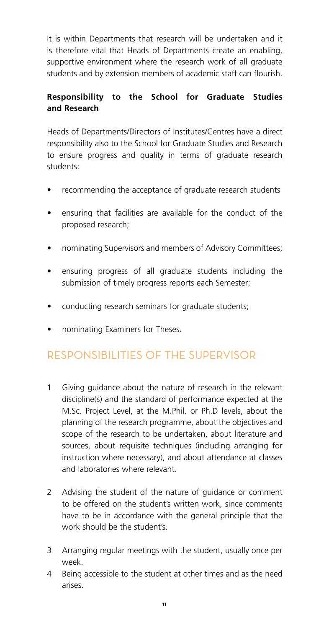It is within Departments that research will be undertaken and it is therefore vital that Heads of Departments create an enabling, supportive environment where the research work of all graduate students and by extension members of academic staff can flourish.

#### **Responsibility to the School for Graduate Studies and Research**

Heads of Departments/Directors of Institutes/Centres have a direct responsibility also to the School for Graduate Studies and Research to ensure progress and quality in terms of graduate research students:

- recommending the acceptance of graduate research students
- ensuring that facilities are available for the conduct of the proposed research;
- nominating Supervisors and members of Advisory Committees;
- ensuring progress of all graduate students including the submission of timely progress reports each Semester;
- conducting research seminars for graduate students;
- nominating Examiners for Theses.

#### RESPONSIBILITIES OF THE SUPERVISOR

- 1 Giving guidance about the nature of research in the relevant discipline(s) and the standard of performance expected at the M.Sc. Project Level, at the M.Phil. or Ph.D levels, about the planning of the research programme, about the objectives and scope of the research to be undertaken, about literature and sources, about requisite techniques (including arranging for instruction where necessary), and about attendance at classes and laboratories where relevant.
- 2 Advising the student of the nature of guidance or comment to be offered on the student's written work, since comments have to be in accordance with the general principle that the work should be the student's.
- 3 Arranging regular meetings with the student, usually once per week.
- 4 Being accessible to the student at other times and as the need arises.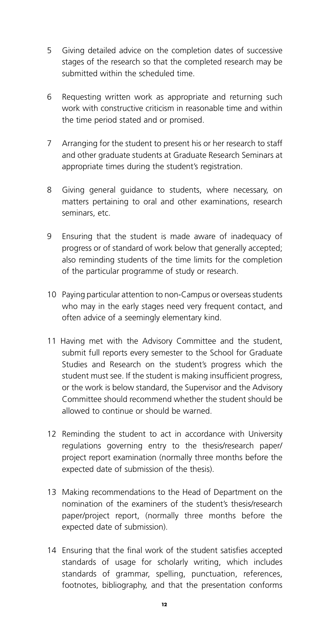- 5 Giving detailed advice on the completion dates of successive stages of the research so that the completed research may be submitted within the scheduled time.
- 6 Requesting written work as appropriate and returning such work with constructive criticism in reasonable time and within the time period stated and or promised.
- 7 Arranging for the student to present his or her research to staff and other graduate students at Graduate Research Seminars at appropriate times during the student's registration.
- 8 Giving general guidance to students, where necessary, on matters pertaining to oral and other examinations, research seminars, etc.
- 9 Ensuring that the student is made aware of inadequacy of progress or of standard of work below that generally accepted; also reminding students of the time limits for the completion of the particular programme of study or research.
- 10 Paying particular attention to non-Campus or overseas students who may in the early stages need very frequent contact, and often advice of a seemingly elementary kind.
- 11 Having met with the Advisory Committee and the student, submit full reports every semester to the School for Graduate Studies and Research on the student's progress which the student must see. If the student is making insufficient progress, or the work is below standard, the Supervisor and the Advisory Committee should recommend whether the student should be allowed to continue or should be warned.
- 12 Reminding the student to act in accordance with University regulations governing entry to the thesis/research paper/ project report examination (normally three months before the expected date of submission of the thesis).
- 13 Making recommendations to the Head of Department on the nomination of the examiners of the student's thesis/research paper/project report, (normally three months before the expected date of submission).
- 14 Ensuring that the final work of the student satisfies accepted standards of usage for scholarly writing, which includes standards of grammar, spelling, punctuation, references, footnotes, bibliography, and that the presentation conforms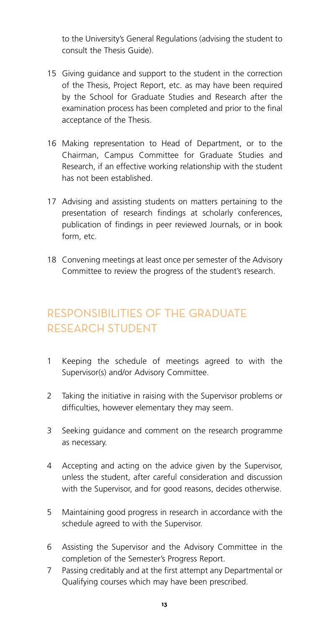to the University's General Regulations (advising the student to consult the Thesis Guide).

- 15 Giving guidance and support to the student in the correction of the Thesis, Project Report, etc. as may have been required by the School for Graduate Studies and Research after the examination process has been completed and prior to the final acceptance of the Thesis.
- 16 Making representation to Head of Department, or to the Chairman, Campus Committee for Graduate Studies and Research, if an effective working relationship with the student has not been established.
- 17 Advising and assisting students on matters pertaining to the presentation of research findings at scholarly conferences, publication of findings in peer reviewed Journals, or in book form, etc.
- 18 Convening meetings at least once per semester of the Advisory Committee to review the progress of the student's research.

### RESPONSIBILITIES OF THE GRADUATE RESEARCH STUDENT

- 1 Keeping the schedule of meetings agreed to with the Supervisor(s) and/or Advisory Committee.
- 2 Taking the initiative in raising with the Supervisor problems or difficulties, however elementary they may seem.
- 3 Seeking guidance and comment on the research programme as necessary.
- 4 Accepting and acting on the advice given by the Supervisor, unless the student, after careful consideration and discussion with the Supervisor, and for good reasons, decides otherwise.
- 5 Maintaining good progress in research in accordance with the schedule agreed to with the Supervisor.
- 6 Assisting the Supervisor and the Advisory Committee in the completion of the Semester's Progress Report.
- 7 Passing creditably and at the first attempt any Departmental or Qualifying courses which may have been prescribed.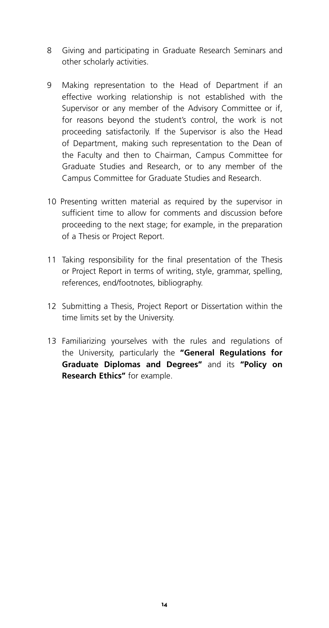- 8 Giving and participating in Graduate Research Seminars and other scholarly activities.
- 9 Making representation to the Head of Department if an effective working relationship is not established with the Supervisor or any member of the Advisory Committee or if, for reasons beyond the student's control, the work is not proceeding satisfactorily. If the Supervisor is also the Head of Department, making such representation to the Dean of the Faculty and then to Chairman, Campus Committee for Graduate Studies and Research, or to any member of the Campus Committee for Graduate Studies and Research.
- 10 Presenting written material as required by the supervisor in sufficient time to allow for comments and discussion before proceeding to the next stage; for example, in the preparation of a Thesis or Project Report.
- 11 Taking responsibility for the final presentation of the Thesis or Project Report in terms of writing, style, grammar, spelling, references, end/footnotes, bibliography.
- 12 Submitting a Thesis, Project Report or Dissertation within the time limits set by the University.
- 13 Familiarizing yourselves with the rules and regulations of the University, particularly the **"General Regulations for Graduate Diplomas and Degrees"** and its **"Policy on Research Ethics"** for example.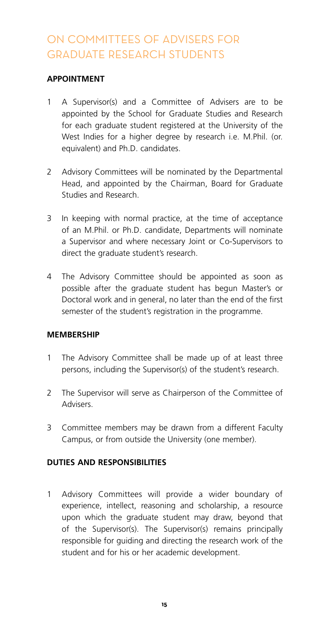### ON COMMITTEES OF ADVISERS FOR GRADUATE RESEARCH STUDENTS

#### **APPOINTMENT**

- 1 A Supervisor(s) and a Committee of Advisers are to be appointed by the School for Graduate Studies and Research for each graduate student registered at the University of the West Indies for a higher degree by research i.e. M.Phil. (or. equivalent) and Ph.D. candidates.
- 2 Advisory Committees will be nominated by the Departmental Head, and appointed by the Chairman, Board for Graduate Studies and Research.
- 3 In keeping with normal practice, at the time of acceptance of an M.Phil. or Ph.D. candidate, Departments will nominate a Supervisor and where necessary Joint or Co-Supervisors to direct the graduate student's research.
- 4 The Advisory Committee should be appointed as soon as possible after the graduate student has begun Master's or Doctoral work and in general, no later than the end of the first semester of the student's registration in the programme.

#### **MEMBERSHIP**

- 1 The Advisory Committee shall be made up of at least three persons, including the Supervisor(s) of the student's research.
- 2 The Supervisor will serve as Chairperson of the Committee of Advisers.
- 3 Committee members may be drawn from a different Faculty Campus, or from outside the University (one member).

#### **DUTIES AND RESPONSIBILITIES**

1 Advisory Committees will provide a wider boundary of experience, intellect, reasoning and scholarship, a resource upon which the graduate student may draw, beyond that of the Supervisor(s). The Supervisor(s) remains principally responsible for guiding and directing the research work of the student and for his or her academic development.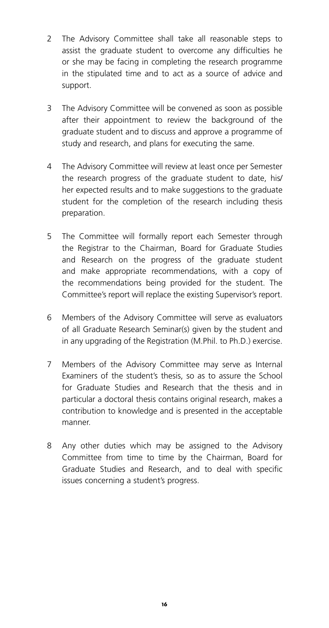- 2 The Advisory Committee shall take all reasonable steps to assist the graduate student to overcome any difficulties he or she may be facing in completing the research programme in the stipulated time and to act as a source of advice and support.
- 3 The Advisory Committee will be convened as soon as possible after their appointment to review the background of the graduate student and to discuss and approve a programme of study and research, and plans for executing the same.
- 4 The Advisory Committee will review at least once per Semester the research progress of the graduate student to date, his/ her expected results and to make suggestions to the graduate student for the completion of the research including thesis preparation.
- 5 The Committee will formally report each Semester through the Registrar to the Chairman, Board for Graduate Studies and Research on the progress of the graduate student and make appropriate recommendations, with a copy of the recommendations being provided for the student. The Committee's report will replace the existing Supervisor's report.
- 6 Members of the Advisory Committee will serve as evaluators of all Graduate Research Seminar(s) given by the student and in any upgrading of the Registration (M.Phil. to Ph.D.) exercise.
- 7 Members of the Advisory Committee may serve as Internal Examiners of the student's thesis, so as to assure the School for Graduate Studies and Research that the thesis and in particular a doctoral thesis contains original research, makes a contribution to knowledge and is presented in the acceptable manner.
- 8 Any other duties which may be assigned to the Advisory Committee from time to time by the Chairman, Board for Graduate Studies and Research, and to deal with specific issues concerning a student's progress.